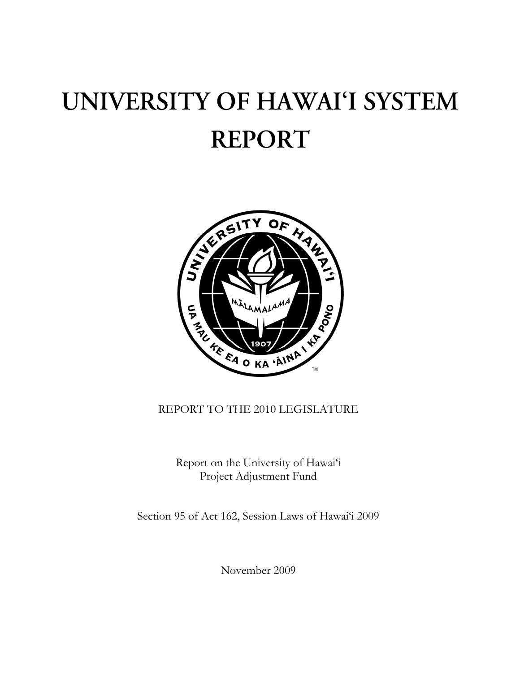## UNIVERSITY OF HAWAI'I SYSTEM **REPORT**



## REPORT TO THE 2010 LEGISLATURE

Report on the University of Hawai'i Project Adjustment Fund

Section 95 of Act 162, Session Laws of Hawai'i 2009

November 2009